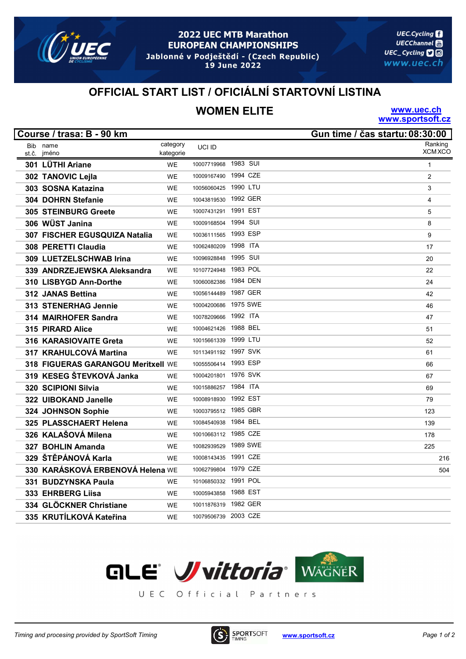

### **2022 UEC MTB Marathon EUROPEAN CHAMPIONSHIPS** Jablonné v Podještědí - (Czech Republic)

19 June 2022

**UEC.Cycling UECChannel** UEC\_Cycling **口**回 www.uec.ch

### OFFICIAL START LIST / OFICIÁLNÍ STARTOVNÍ LISTINA

## WOMEN ELITE

www.uec.ch www.sportsoft.cz

|       | Course / trasa: B - 90 km          |           |                      |          | Gun time / čas startu: 08:30:00 |
|-------|------------------------------------|-----------|----------------------|----------|---------------------------------|
|       | Bib name                           | category  | UCI ID               |          | Ranking                         |
| st.č. | jméno                              | kategorie |                      |          | <b>XCM XCO</b>                  |
|       | 301 LÜTHI Ariane                   | <b>WE</b> | 10007719968          | 1983 SUI | $\mathbf{1}$                    |
|       | 302 TANOVIC Lejla                  | <b>WE</b> | 10009167490          | 1994 CZE | 2                               |
|       | 303 SOSNA Katazina                 | WE        | 10056060425          | 1990 LTU | 3                               |
|       | 304 DOHRN Stefanie                 | <b>WE</b> | 10043819530          | 1992 GER | 4                               |
|       | <b>305 STEINBURG Greete</b>        | <b>WE</b> | 10007431291          | 1991 EST | 5                               |
|       | 306 WÜST Janina                    | <b>WE</b> | 10009168504          | 1994 SUI | 8                               |
|       | 307 FISCHER EGUSQUIZA Natalia      | <b>WE</b> | 10036111565          | 1993 ESP | 9                               |
|       | 308 PERETTI Claudia                | <b>WE</b> | 10062480209          | 1998 ITA | 17                              |
|       | 309 LUETZELSCHWAB Irina            | <b>WE</b> | 10096928848          | 1995 SUI | 20                              |
|       | 339 ANDRZEJEWSKA Aleksandra        | <b>WE</b> | 10107724948          | 1983 POL | 22                              |
|       | 310 LISBYGD Ann-Dorthe             | <b>WE</b> | 10060082386          | 1984 DEN | 24                              |
|       | 312 JANAS Bettina                  | <b>WE</b> | 10056144489          | 1987 GER | 42                              |
|       | 313 STENERHAG Jennie               | <b>WE</b> | 10004200686          | 1975 SWE | 46                              |
|       | 314 MAIRHOFER Sandra               | <b>WE</b> | 10078209666          | 1992 ITA | 47                              |
|       | 315 PIRARD Alice                   | <b>WE</b> | 10004621426 1988 BEL |          | 51                              |
|       | 316 KARASIOVAITE Greta             | <b>WE</b> | 10015661339 1999 LTU |          | 52                              |
|       | 317 KRAHULCOVÁ Martina             | <b>WE</b> | 10113491192 1997 SVK |          | 61                              |
|       | 318 FIGUERAS GARANGOU Meritxell WE |           | 10055506414          | 1993 ESP | 66                              |
|       | 319 KESEG ŠTEVKOVÁ Janka           | <b>WE</b> | 10004201801 1976 SVK |          | 67                              |
|       | 320 SCIPIONI Silvia                | <b>WE</b> | 10015886257 1984 ITA |          | 69                              |
|       | 322 UIBOKAND Janelle               | <b>WE</b> | 10008918930          | 1992 EST | 79                              |
|       | 324 JOHNSON Sophie                 | <b>WE</b> | 10003795512 1985 GBR |          | 123                             |
|       | 325 PLASSCHAERT Helena             | <b>WE</b> | 10084540938          | 1984 BEL | 139                             |
|       | 326 KALAŠOVÁ Milena                | <b>WE</b> | 10010663112 1985 CZE |          | 178                             |
|       | 327 BOHLIN Amanda                  | WE        | 10082939529          | 1989 SWE | 225                             |
|       | 329 ŠTĚPÁNOVÁ Karla                | <b>WE</b> | 10008143435          | 1991 CZE | 216                             |
|       | 330 KARÁSKOVÁ ERBENOVÁ Helena WE   |           | 10062799804          | 1979 CZE | 504                             |
|       | 331 BUDZYNSKA Paula                | <b>WE</b> | 10106850332          | 1991 POL |                                 |
|       | 333 EHRBERG Liisa                  | <b>WE</b> | 10005943858          | 1988 EST |                                 |
|       | 334 GLÖCKNER Christiane            | <b>WE</b> | 10011876319          | 1982 GER |                                 |
|       | 335 KRUTÍLKOVÁ Kateřina            | WE        | 10079506739 2003 CZE |          |                                 |



UEC Official Partners